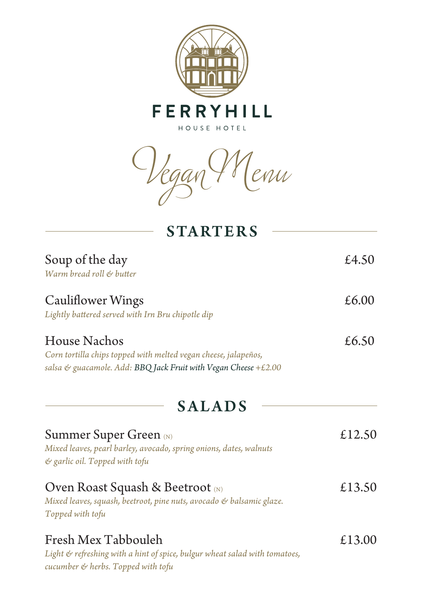

*Vegan Menu*

| <b>STARTERS</b>                                                                                                                                    |        |
|----------------------------------------------------------------------------------------------------------------------------------------------------|--------|
| Soup of the day<br>Warm bread roll & butter                                                                                                        | £4.50  |
| <b>Cauliflower Wings</b><br>Lightly battered served with Irn Bru chipotle dip                                                                      | £6.00  |
| House Nachos<br>Corn tortilla chips topped with melted vegan cheese, jalapeños,<br>salsa & guacamole. Add: BBQ Jack Fruit with Vegan Cheese +£2.00 | £6.50  |
| <b>SALADS</b>                                                                                                                                      |        |
| <b>Summer Super Green</b> (N)<br>Mixed leaves, pearl barley, avocado, spring onions, dates, walnuts<br>& garlic oil. Topped with tofu              | £12.50 |
| Oven Roast Squash & Beetroot (N)<br>Mixed leaves, squash, beetroot, pine nuts, avocado & balsamic glaze.<br>Topped with tofu                       | £13.50 |
| Fresh Mex Tabbouleh<br>Light & refreshing with a hint of spice, bulgur wheat salad with tomatoes,<br>cucumber & herbs. Topped with tofu            | £13.00 |